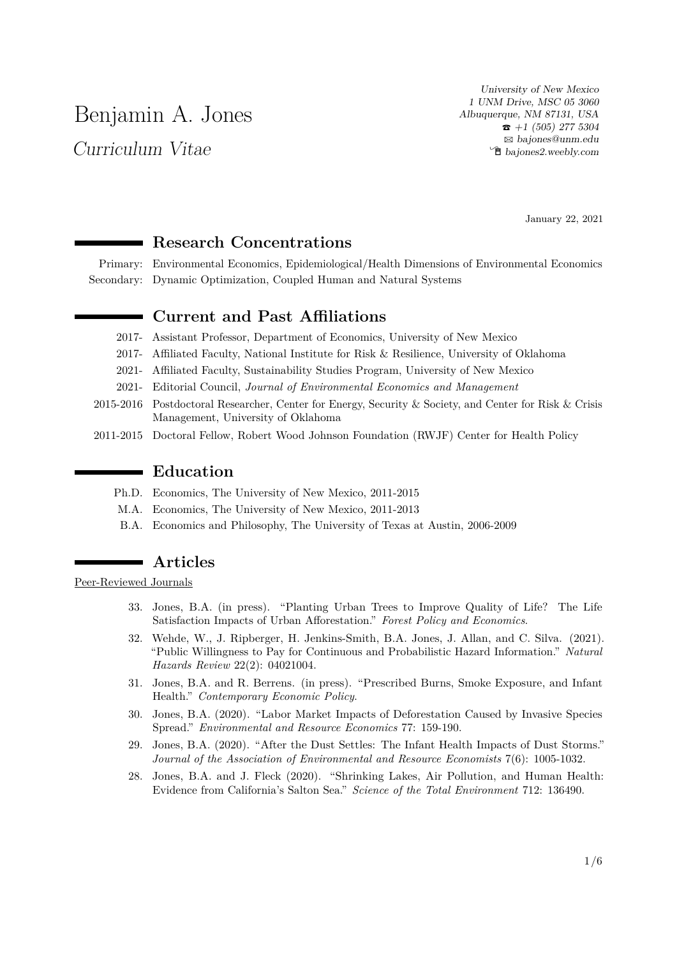# Benjamin A. Jones

Curriculum Vitae

University of New Mexico 1 UNM Drive, MSC 05 3060 Albuquerque, NM 87131, USA  $\hat{\mathbf{r}}$  +1 (505) 277 5304 B [bajones@unm.edu](mailto:bajones@unm.edu) Í [bajones2.weebly.com](http://bajones2.weebly.com)

January 22, 2021

#### **Research Concentrations**

Primary: Environmental Economics, Epidemiological/Health Dimensions of Environmental Economics Secondary: Dynamic Optimization, Coupled Human and Natural Systems

#### **Current and Past Affiliations**

- 2017- Assistant Professor, Department of Economics, University of New Mexico
- 2017- Affiliated Faculty, National Institute for Risk & Resilience, University of Oklahoma
- 2021- Affiliated Faculty, Sustainability Studies Program, University of New Mexico
- 2021- Editorial Council, *Journal of Environmental Economics and Management*
- 2015-2016 Postdoctoral Researcher, Center for Energy, Security & Society, and Center for Risk & Crisis Management, University of Oklahoma
- 2011-2015 Doctoral Fellow, Robert Wood Johnson Foundation (RWJF) Center for Health Policy

#### **Education**

- Ph.D. Economics, The University of New Mexico, 2011-2015
- M.A. Economics, The University of New Mexico, 2011-2013
- B.A. Economics and Philosophy, The University of Texas at Austin, 2006-2009

#### **Articles**

Peer-Reviewed Journals

- 33. Jones, B.A. (in press). "Planting Urban Trees to Improve Quality of Life? The Life Satisfaction Impacts of Urban Afforestation." *Forest Policy and Economics*.
- 32. Wehde, W., J. Ripberger, H. Jenkins-Smith, B.A. Jones, J. Allan, and C. Silva. (2021). "Public Willingness to Pay for Continuous and Probabilistic Hazard Information." *Natural Hazards Review* 22(2): 04021004.
- 31. Jones, B.A. and R. Berrens. (in press). "Prescribed Burns, Smoke Exposure, and Infant Health." *Contemporary Economic Policy*.
- 30. Jones, B.A. (2020). "Labor Market Impacts of Deforestation Caused by Invasive Species Spread." *Environmental and Resource Economics* 77: 159-190.
- 29. Jones, B.A. (2020). "After the Dust Settles: The Infant Health Impacts of Dust Storms." *Journal of the Association of Environmental and Resource Economists* 7(6): 1005-1032.
- 28. Jones, B.A. and J. Fleck (2020). "Shrinking Lakes, Air Pollution, and Human Health: Evidence from California's Salton Sea." *Science of the Total Environment* 712: 136490.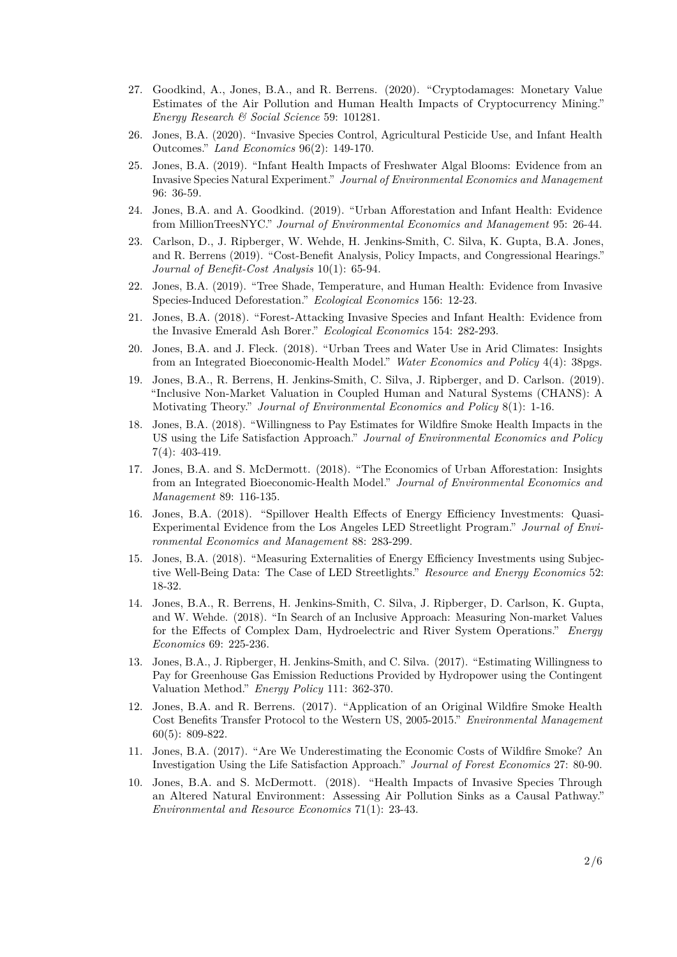- 27. Goodkind, A., Jones, B.A., and R. Berrens. (2020). "Cryptodamages: Monetary Value Estimates of the Air Pollution and Human Health Impacts of Cryptocurrency Mining." *Energy Research & Social Science* 59: 101281.
- 26. Jones, B.A. (2020). "Invasive Species Control, Agricultural Pesticide Use, and Infant Health Outcomes." *Land Economics* 96(2): 149-170.
- 25. Jones, B.A. (2019). "Infant Health Impacts of Freshwater Algal Blooms: Evidence from an Invasive Species Natural Experiment." *Journal of Environmental Economics and Management* 96: 36-59.
- 24. Jones, B.A. and A. Goodkind. (2019). "Urban Afforestation and Infant Health: Evidence from MillionTreesNYC." *Journal of Environmental Economics and Management* 95: 26-44.
- 23. Carlson, D., J. Ripberger, W. Wehde, H. Jenkins-Smith, C. Silva, K. Gupta, B.A. Jones, and R. Berrens (2019). "Cost-Benefit Analysis, Policy Impacts, and Congressional Hearings." *Journal of Benefit-Cost Analysis* 10(1): 65-94.
- 22. Jones, B.A. (2019). "Tree Shade, Temperature, and Human Health: Evidence from Invasive Species-Induced Deforestation." *Ecological Economics* 156: 12-23.
- 21. Jones, B.A. (2018). "Forest-Attacking Invasive Species and Infant Health: Evidence from the Invasive Emerald Ash Borer." *Ecological Economics* 154: 282-293.
- 20. Jones, B.A. and J. Fleck. (2018). "Urban Trees and Water Use in Arid Climates: Insights from an Integrated Bioeconomic-Health Model." *Water Economics and Policy* 4(4): 38pgs.
- 19. Jones, B.A., R. Berrens, H. Jenkins-Smith, C. Silva, J. Ripberger, and D. Carlson. (2019). "Inclusive Non-Market Valuation in Coupled Human and Natural Systems (CHANS): A Motivating Theory." *Journal of Environmental Economics and Policy* 8(1): 1-16.
- 18. Jones, B.A. (2018). "Willingness to Pay Estimates for Wildfire Smoke Health Impacts in the US using the Life Satisfaction Approach." *Journal of Environmental Economics and Policy* 7(4): 403-419.
- 17. Jones, B.A. and S. McDermott. (2018). "The Economics of Urban Afforestation: Insights from an Integrated Bioeconomic-Health Model." *Journal of Environmental Economics and Management* 89: 116-135.
- 16. Jones, B.A. (2018). "Spillover Health Effects of Energy Efficiency Investments: Quasi-Experimental Evidence from the Los Angeles LED Streetlight Program." *Journal of Environmental Economics and Management* 88: 283-299.
- 15. Jones, B.A. (2018). "Measuring Externalities of Energy Efficiency Investments using Subjective Well-Being Data: The Case of LED Streetlights." *Resource and Energy Economics* 52: 18-32.
- 14. Jones, B.A., R. Berrens, H. Jenkins-Smith, C. Silva, J. Ripberger, D. Carlson, K. Gupta, and W. Wehde. (2018). "In Search of an Inclusive Approach: Measuring Non-market Values for the Effects of Complex Dam, Hydroelectric and River System Operations." *Energy Economics* 69: 225-236.
- 13. Jones, B.A., J. Ripberger, H. Jenkins-Smith, and C. Silva. (2017). "Estimating Willingness to Pay for Greenhouse Gas Emission Reductions Provided by Hydropower using the Contingent Valuation Method." *Energy Policy* 111: 362-370.
- 12. Jones, B.A. and R. Berrens. (2017). "Application of an Original Wildfire Smoke Health Cost Benefits Transfer Protocol to the Western US, 2005-2015." *Environmental Management* 60(5): 809-822.
- 11. Jones, B.A. (2017). "Are We Underestimating the Economic Costs of Wildfire Smoke? An Investigation Using the Life Satisfaction Approach." *Journal of Forest Economics* 27: 80-90.
- 10. Jones, B.A. and S. McDermott. (2018). "Health Impacts of Invasive Species Through an Altered Natural Environment: Assessing Air Pollution Sinks as a Causal Pathway." *Environmental and Resource Economics* 71(1): 23-43.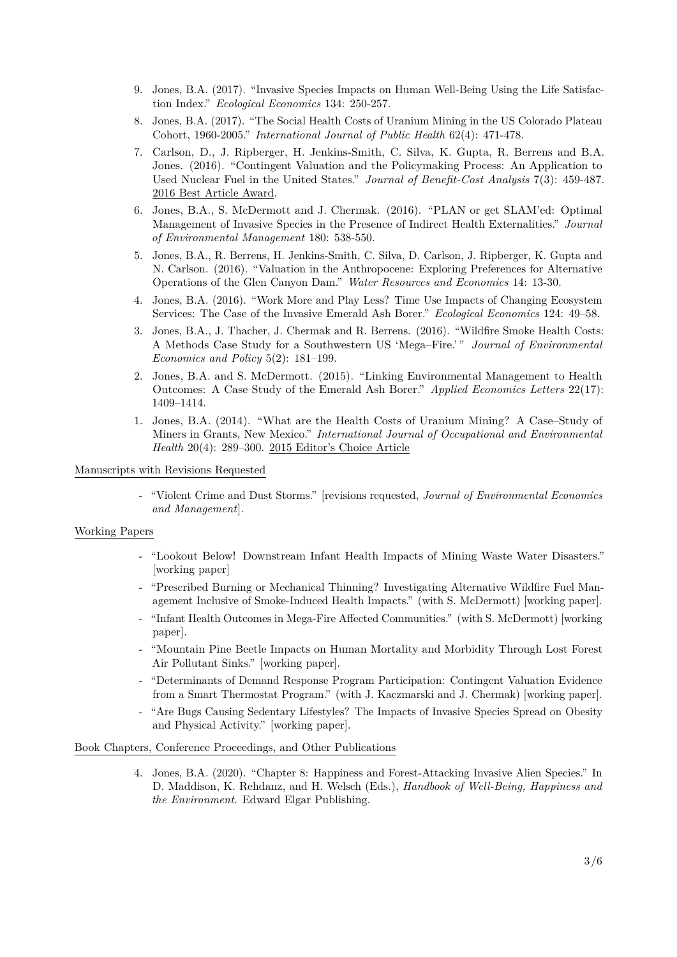- 9. Jones, B.A. (2017). "Invasive Species Impacts on Human Well-Being Using the Life Satisfaction Index." *Ecological Economics* 134: 250-257.
- 8. Jones, B.A. (2017). "The Social Health Costs of Uranium Mining in the US Colorado Plateau Cohort, 1960-2005." *International Journal of Public Health* 62(4): 471-478.
- 7. Carlson, D., J. Ripberger, H. Jenkins-Smith, C. Silva, K. Gupta, R. Berrens and B.A. Jones. (2016). "Contingent Valuation and the Policymaking Process: An Application to Used Nuclear Fuel in the United States." *Journal of Benefit-Cost Analysis* 7(3): 459-487. 2016 Best Article Award.
- 6. Jones, B.A., S. McDermott and J. Chermak. (2016). "PLAN or get SLAM'ed: Optimal Management of Invasive Species in the Presence of Indirect Health Externalities." *Journal of Environmental Management* 180: 538-550.
- 5. Jones, B.A., R. Berrens, H. Jenkins-Smith, C. Silva, D. Carlson, J. Ripberger, K. Gupta and N. Carlson. (2016). "Valuation in the Anthropocene: Exploring Preferences for Alternative Operations of the Glen Canyon Dam." *Water Resources and Economics* 14: 13-30.
- 4. Jones, B.A. (2016). "Work More and Play Less? Time Use Impacts of Changing Ecosystem Services: The Case of the Invasive Emerald Ash Borer." *Ecological Economics* 124: 49–58.
- 3. Jones, B.A., J. Thacher, J. Chermak and R. Berrens. (2016). "Wildfire Smoke Health Costs: A Methods Case Study for a Southwestern US 'Mega–Fire.' " *Journal of Environmental Economics and Policy* 5(2): 181–199.
- 2. Jones, B.A. and S. McDermott. (2015). "Linking Environmental Management to Health Outcomes: A Case Study of the Emerald Ash Borer." *Applied Economics Letters* 22(17): 1409–1414.
- 1. Jones, B.A. (2014). "What are the Health Costs of Uranium Mining? A Case–Study of Miners in Grants, New Mexico." *International Journal of Occupational and Environmental Health* 20(4): 289–300. 2015 Editor's Choice Article

#### Manuscripts with Revisions Requested

- "Violent Crime and Dust Storms." [revisions requested, *Journal of Environmental Economics and Management*].

#### Working Papers

- "Lookout Below! Downstream Infant Health Impacts of Mining Waste Water Disasters." [working paper]
- "Prescribed Burning or Mechanical Thinning? Investigating Alternative Wildfire Fuel Management Inclusive of Smoke-Induced Health Impacts." (with S. McDermott) [working paper].
- "Infant Health Outcomes in Mega-Fire Affected Communities." (with S. McDermott) [working paper].
- "Mountain Pine Beetle Impacts on Human Mortality and Morbidity Through Lost Forest Air Pollutant Sinks." [working paper].
- "Determinants of Demand Response Program Participation: Contingent Valuation Evidence from a Smart Thermostat Program." (with J. Kaczmarski and J. Chermak) [working paper].
- "Are Bugs Causing Sedentary Lifestyles? The Impacts of Invasive Species Spread on Obesity and Physical Activity." [working paper].

#### Book Chapters, Conference Proceedings, and Other Publications

4. Jones, B.A. (2020). "Chapter 8: Happiness and Forest-Attacking Invasive Alien Species." In D. Maddison, K. Rehdanz, and H. Welsch (Eds.), *Handbook of Well-Being, Happiness and the Environment*. Edward Elgar Publishing.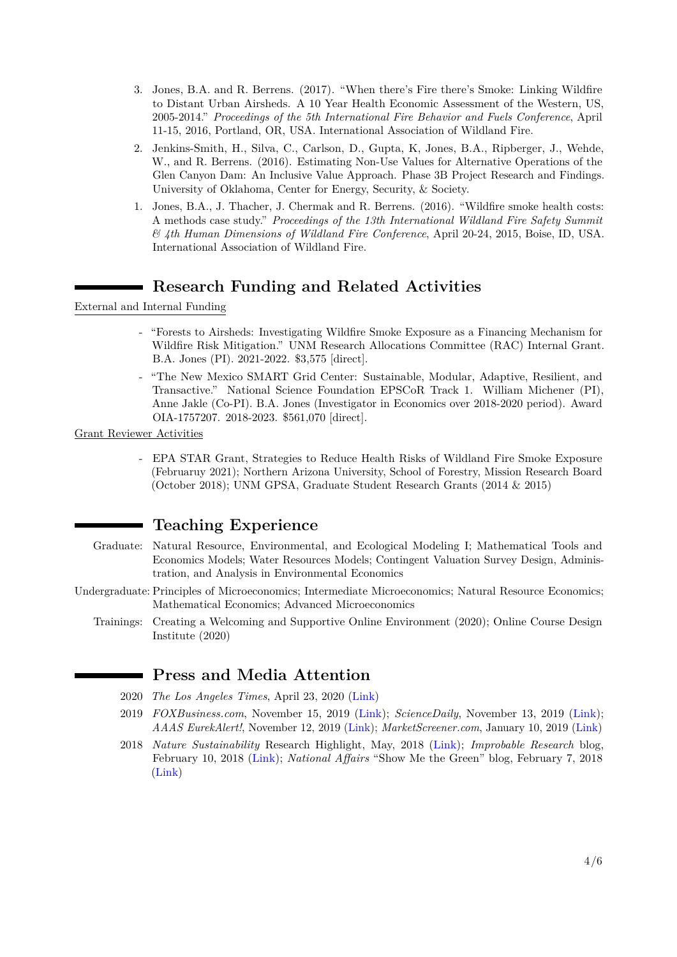- 3. Jones, B.A. and R. Berrens. (2017). "When there's Fire there's Smoke: Linking Wildfire to Distant Urban Airsheds. A 10 Year Health Economic Assessment of the Western, US, 2005-2014." *Proceedings of the 5th International Fire Behavior and Fuels Conference*, April 11-15, 2016, Portland, OR, USA. International Association of Wildland Fire.
- 2. Jenkins-Smith, H., Silva, C., Carlson, D., Gupta, K, Jones, B.A., Ripberger, J., Wehde, W., and R. Berrens. (2016). Estimating Non-Use Values for Alternative Operations of the Glen Canyon Dam: An Inclusive Value Approach. Phase 3B Project Research and Findings. University of Oklahoma, Center for Energy, Security, & Society.
- 1. Jones, B.A., J. Thacher, J. Chermak and R. Berrens. (2016). "Wildfire smoke health costs: A methods case study." *Proceedings of the 13th International Wildland Fire Safety Summit & 4th Human Dimensions of Wildland Fire Conference*, April 20-24, 2015, Boise, ID, USA. International Association of Wildland Fire.

# **Research Funding and Related Activities**

External and Internal Funding

- "Forests to Airsheds: Investigating Wildfire Smoke Exposure as a Financing Mechanism for Wildfire Risk Mitigation." UNM Research Allocations Committee (RAC) Internal Grant. B.A. Jones (PI). 2021-2022. \$3,575 [direct].
- "The New Mexico SMART Grid Center: Sustainable, Modular, Adaptive, Resilient, and Transactive." National Science Foundation EPSCoR Track 1. William Michener (PI), Anne Jakle (Co-PI). B.A. Jones (Investigator in Economics over 2018-2020 period). Award OIA-1757207. 2018-2023. \$561,070 [direct].

Grant Reviewer Activities

- EPA STAR Grant, Strategies to Reduce Health Risks of Wildland Fire Smoke Exposure (Februaruy 2021); Northern Arizona University, School of Forestry, Mission Research Board (October 2018); UNM GPSA, Graduate Student Research Grants (2014 & 2015)

## **Teaching Experience**

- Graduate: Natural Resource, Environmental, and Ecological Modeling I; Mathematical Tools and Economics Models; Water Resources Models; Contingent Valuation Survey Design, Administration, and Analysis in Environmental Economics
- Undergraduate: Principles of Microeconomics; Intermediate Microeconomics; Natural Resource Economics; Mathematical Economics; Advanced Microeconomics
	- Trainings: Creating a Welcoming and Supportive Online Environment (2020); Online Course Design Institute (2020)

## **Press and Media Attention**

- 2020 *The Los Angeles Times*, April 23, 2020 [\(Link\)](https://www.latimes.com/environment/story/2020-04-23/salton-sea-dust-voters-polls)
- 2019 *FOXBusiness.com*, November 15, 2019 [\(Link\)](https://www.foxbusiness.com/technology/creation-of-bitcoin-hurts-health-climate); *ScienceDaily*, November 13, 2019 [\(Link\)](https://www.sciencedaily.com/releases/2019/11/191113092600.htm); *AAAS EurekAlert!*, November 12, 2019 [\(Link\)](https://www.eurekalert.org/pub_releases/2019-11/uonm-tec111219.php); *MarketScreener.com*, January 10, 2019 [\(Link\)](https://www.marketscreener.com/HUMAN-HEALTH-HOLDINGS-LTD-26738678/news/Researchers-from-University-of-New-Mexico-Report-New-Studies-and-Findings-in-the-Area-of-Invasive-Sp-27851229/)
- 2018 *Nature Sustainability* Research Highlight, May, 2018 [\(Link\)](https://www.nature.com/articles/s41893-018-0072-6); *Improbable Research* blog, February 10, 2018 [\(Link\)](https://www.improbable.com/2018/02/10/associations-led-street-lighting-and-breast-cancer-new-study/); *National Affairs* "Show Me the Green" blog, February 7, 2018 [\(Link\)](https://nationalaffairs.com/blog/detail/findings-a-daily-roundup/show-me-the-green)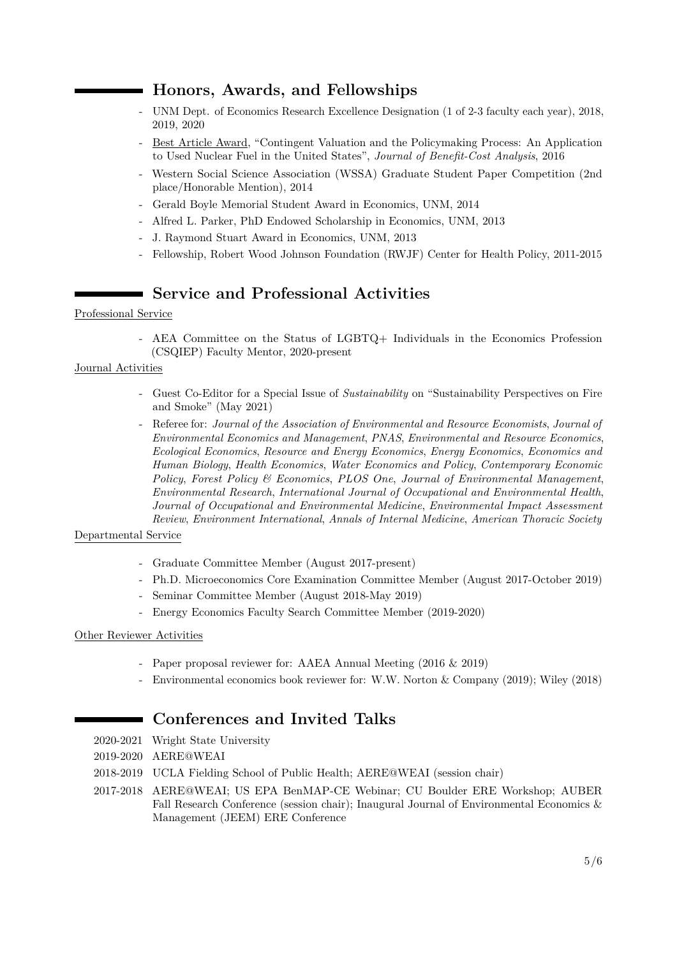# **Honors, Awards, and Fellowships**

- UNM Dept. of Economics Research Excellence Designation (1 of 2-3 faculty each year), 2018, 2019, 2020
- Best Article Award, "Contingent Valuation and the Policymaking Process: An Application to Used Nuclear Fuel in the United States", *Journal of Benefit-Cost Analysis*, 2016
- Western Social Science Association (WSSA) Graduate Student Paper Competition (2nd place/Honorable Mention), 2014
- Gerald Boyle Memorial Student Award in Economics, UNM, 2014
- Alfred L. Parker, PhD Endowed Scholarship in Economics, UNM, 2013
- J. Raymond Stuart Award in Economics, UNM, 2013
- Fellowship, Robert Wood Johnson Foundation (RWJF) Center for Health Policy, 2011-2015

# **Service and Professional Activities**

#### Professional Service

- AEA Committee on the Status of LGBTQ+ Individuals in the Economics Profession (CSQIEP) Faculty Mentor, 2020-present

#### Journal Activities

- Guest Co-Editor for a Special Issue of *Sustainability* on "Sustainability Perspectives on Fire and Smoke" (May 2021)
- Referee for: *Journal of the Association of Environmental and Resource Economists*, *Journal of Environmental Economics and Management*, *PNAS*, *Environmental and Resource Economics*, *Ecological Economics*, *Resource and Energy Economics*, *Energy Economics*, *Economics and Human Biology*, *Health Economics*, *Water Economics and Policy*, *Contemporary Economic Policy*, *Forest Policy & Economics*, *PLOS One*, *Journal of Environmental Management*, *Environmental Research*, *International Journal of Occupational and Environmental Health*, *Journal of Occupational and Environmental Medicine*, *Environmental Impact Assessment Review*, *Environment International*, *Annals of Internal Medicine*, *American Thoracic Society*

#### Departmental Service

- Graduate Committee Member (August 2017-present)
- Ph.D. Microeconomics Core Examination Committee Member (August 2017-October 2019)
- Seminar Committee Member (August 2018-May 2019)
- Energy Economics Faculty Search Committee Member (2019-2020)

#### Other Reviewer Activities

- Paper proposal reviewer for: AAEA Annual Meeting (2016 & 2019)
- Environmental economics book reviewer for: W.W. Norton & Company (2019); Wiley (2018)

# **Conferences and Invited Talks**

- 2020-2021 Wright State University
- 2019-2020 AERE@WEAI
- 2018-2019 UCLA Fielding School of Public Health; AERE@WEAI (session chair)
- 2017-2018 AERE@WEAI; US EPA BenMAP-CE Webinar; CU Boulder ERE Workshop; AUBER Fall Research Conference (session chair); Inaugural Journal of Environmental Economics & Management (JEEM) ERE Conference